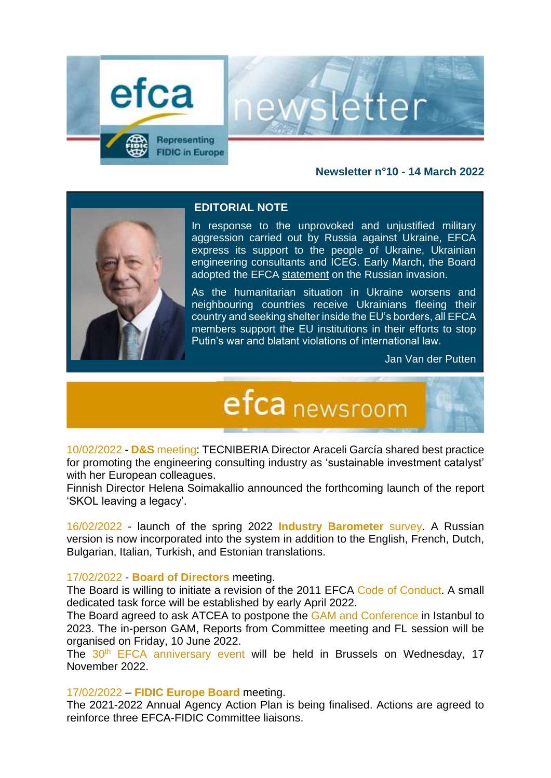

#### **Newsletter n°10 - 14 March 2022**

etter



#### **EDITORIAL NOTE**

In response to the unprovoked and unjustified military aggression carried out by Russia against Ukraine, EFCA express its support to the people of Ukraine, Ukrainian engineering consultants and ICEG. Early March, the Board adopted the EFCA [statement](https://www.efca.be/news/efca-statement-russian-invasion-ukraine) on the Russian invasion.

As the humanitarian situation in Ukraine worsens and neighbouring countries receive Ukrainians fleeing their country and seeking shelter inside the EU's borders, all EFCA members support the EU institutions in their efforts to stop Putin's war and blatant violations of international law.

Jan Van der Putten

## efca newsroom

10/02/2022 - **D&S** meeting: TECNIBERIA Director Araceli García shared best practice for promoting the engineering consulting industry as 'sustainable investment catalyst' with her European colleagues.

Finnish Director Helena Soimakallio announced the forthcoming launch of the report 'SKOL leaving a legacy'.

16/02/2022 - launch of the spring 2022 **Industry Barometer** survey. A Russian version is now incorporated into the system in addition to the English, French, Dutch, Bulgarian, Italian, Turkish, and Estonian translations.

#### 17/02/2022 - **Board of Directors** meeting.

The Board is willing to initiate a revision of the 2011 EFCA Code of Conduct. A small dedicated task force will be established by early April 2022.

The Board agreed to ask ATCEA to postpone the GAM and Conference in Istanbul to 2023. The in-person GAM, Reports from Committee meeting and FL session will be organised on Friday, 10 June 2022.

The 30<sup>th</sup> EFCA anniversary event will be held in Brussels on Wednesday, 17 November 2022.

17/02/2022 – **FIDIC Europe Board** meeting.

The 2021-2022 Annual Agency Action Plan is being finalised. Actions are agreed to reinforce three EFCA-FIDIC Committee liaisons.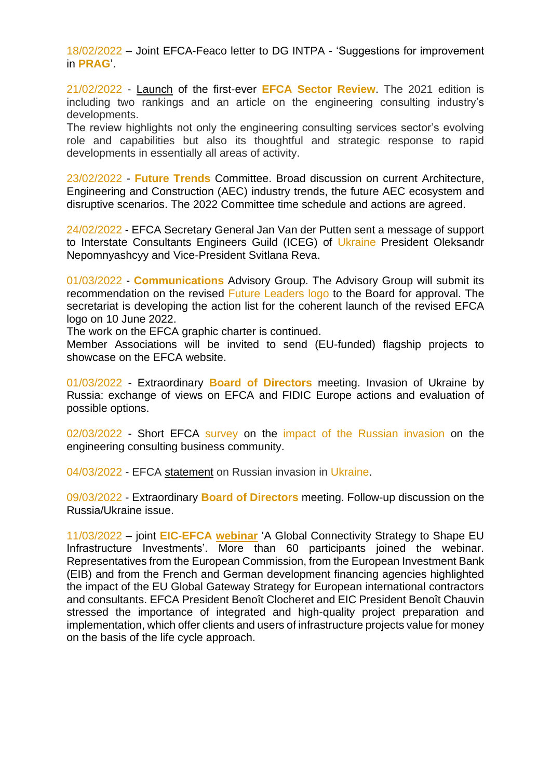18/02/2022 – Joint EFCA-Feaco letter to DG INTPA - 'Suggestions for improvement in **PRAG**'.

21/02/2022 - [Launch](https://www.efcanet.org/news/first-ever-efca-sector-review-2021-and-top-125-engineering-services-firms-operating-europe) of the first-ever **EFCA Sector Review**. The 2021 edition is including two rankings and an article on the engineering consulting industry's developments.

The review highlights not only the engineering consulting services sector's evolving role and capabilities but also its thoughtful and strategic response to rapid developments in essentially all areas of activity.

23/02/2022 - **Future Trends** Committee. Broad discussion on current Architecture, Engineering and Construction (AEC) industry trends, the future AEC ecosystem and disruptive scenarios. The 2022 Committee time schedule and actions are agreed.

24/02/2022 - EFCA Secretary General Jan Van der Putten sent a message of support to Interstate Consultants Engineers Guild (ICEG) of Ukraine President Oleksandr Nepomnyashcyy and Vice-President Svitlana Reva.

01/03/2022 - **Communications** Advisory Group. The Advisory Group will submit its recommendation on the revised Future Leaders logo to the Board for approval. The secretariat is developing the action list for the coherent launch of the revised EFCA logo on 10 June 2022.

The work on the EFCA graphic charter is continued.

Member Associations will be invited to send (EU-funded) flagship projects to showcase on the EFCA website.

01/03/2022 - Extraordinary **Board of Directors** meeting. Invasion of Ukraine by Russia: exchange of views on EFCA and FIDIC Europe actions and evaluation of possible options.

02/03/2022 - Short EFCA survey on the impact of the Russian invasion on the engineering consulting business community.

04/03/2022 - EFCA [statement](https://www.efca.be/news/efca-statement-russian-invasion-ukraine) on Russian invasion in Ukraine.

09/03/2022 - Extraordinary **Board of Directors** meeting. Follow-up discussion on the Russia/Ukraine issue.

11/03/2022 – joint **EIC-EFCA [webinar](https://www.eic-federation.eu/themes/joint-efca-eic-webinar-global-gateway)** 'A Global Connectivity Strategy to Shape EU Infrastructure Investments'. More than 60 participants joined the webinar. Representatives from the European Commission, from the European Investment Bank (EIB) and from the French and German development financing agencies highlighted the impact of the EU Global Gateway Strategy for European international contractors and consultants. EFCA President Benoît Clocheret and EIC President Benoît Chauvin stressed the importance of integrated and high-quality project preparation and implementation, which offer clients and users of infrastructure projects value for money on the basis of the life cycle approach.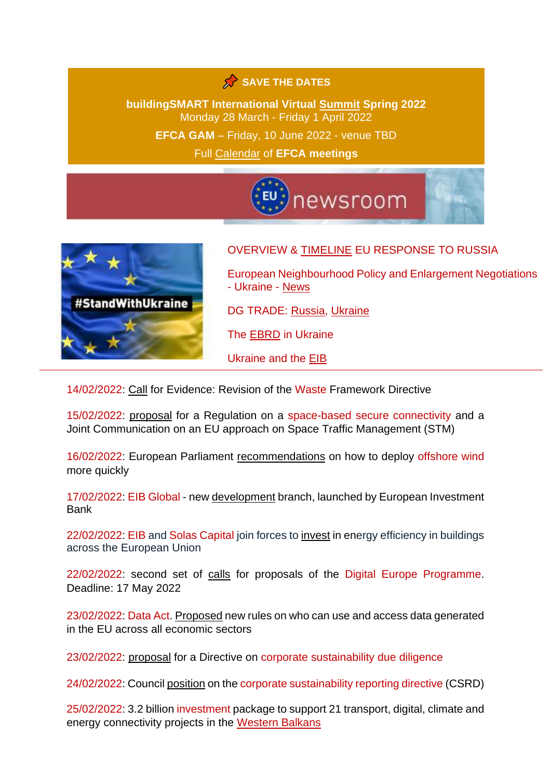### SAVE THE DATES

**buildingSMART International Virtual [Summit](https://hopin.com/events/the-buildingsmart-international-virtual-summit-spring-2022/registration?_hsenc=p2ANqtz-9TEBXFSV4WErYvhbLkM1GXPxbCQKQaZ65wayitVBFTb92NXQfkF_PEHQUv9DeNAajU_GwUxdOJYdLs6pcrcfVSmDmMlw&_hsmi=203132224&utm_campaign=Digital+Newsletter&utm_content=203132224&utm_medium=email&utm_source=hs_email) Spring 2022** Monday 28 March - Friday 1 April 2022 **EFCA GAM** – Friday, 10 June 2022 - venue TBD Full [Calendar](https://www.efca.be/calendar) of **EFCA meetings**





#### OVERVIEW & [TIMELINE](https://ec.europa.eu/info/strategy/priorities-2019-2024/stronger-europe-world/eu-solidarity-ukraine_en#timeline) EU RESPONSE TO RUSSIA

European Neighbourhood Policy and Enlargement Negotiations - Ukraine - [News](https://ec.europa.eu/neighbourhood-enlargement/about-us/latest-news_en?f%5B0%5D=country_country%3Ahttp%3A//publications.europa.eu/resource/authority/country/UKR)

DG TRADE: [Russia,](https://ec.europa.eu/trade/policy/countries-and-regions/countries/russia/) [Ukraine](https://ec.europa.eu/trade/policy/countries-and-regions/countries/ukraine/)

The [EBRD](https://www.ebrd.com/ukraine.html) in Ukraine

Ukraine and the [EIB](https://www.eib.org/en/projects/regions/eastern-neighbours/ukraine/index.htm)

14/02/2022: [Call](https://ec.europa.eu/info/law/better-regulation/have-your-say/initiatives/13225-Environmental-impact-of-waste-management-revision-of-EU-waste-framework_en) for Evidence: Revision of the Waste Framework Directive

15/02/2022: [proposal](https://ec.europa.eu/commission/presscorner/detail/en/ip_22_921) for a Regulation on a space-based secure connectivity and a Joint Communication on an EU approach on Space Traffic Management (STM)

16/02/2022: European Parliament [recommendations](https://www.europarl.europa.eu/news/en/press-room/20220210IPR23015/boost-offshore-renewable-energy-sources-to-meet-climate-targets?xtor=AD-78-%5bSocial_share_buttons%5d-%5blinkedin%5d-%5ben%5d-%5bnews%5d-%5bpressroom%5d-%5ba-european-strategy-for-offshore-renewable-energy%5d) on how to deploy offshore wind more quickly

17/02/2022: EIB Global - new [development](https://www.eib.org/en/global/) branch, launched by European Investment Bank

22/02/2022: EIB and Solas Capital join forces to [invest](https://www.eib.org/en/press/all/2022-107-the-eib-and-solas-capital-join-forces-to-invest-in-energy-efficiency-in-buildings-across-the-european-union) in energy efficiency in buildings across the European Union

22/02/2022: second set of [calls](https://ec.europa.eu/info/funding-tenders/opportunities/portal/screen/opportunities/topic-search;callCode=null;freeTextSearchKeyword=;matchWholeText=true;typeCodes=1,0;statusCodes=31094501,31094502,31094503;programmePeriod=2021%20-%202027;programCcm2Id=43152860;programDivisionCode=null;focusAreaCode=null;destination=null;mission=null;geographicalZonesCode=null;programmeDivisionProspect=null;startDateLte=null;startDateGte=null;crossCuttingPriorityCode=null;cpvCode=null;performanceOfDelivery=null;sortQuery=sortStatus;orderBy=asc;onlyTenders=false;topicListKey=topicSearchTablePageState) for proposals of the Digital Europe Programme. Deadline: 17 May 2022

23/02/2022: Data Act. [Proposed](https://ec.europa.eu/commission/presscorner/detail/en/ip_22_1113) new rules on who can use and access data generated in the EU across all economic sectors

23/02/2022: [proposal](https://ec.europa.eu/commission/presscorner/detail/en/IP_22_1145) for a Directive on corporate sustainability due diligence

24/02/2022: Council [position](https://www.consilium.europa.eu/en/press/press-releases/2022/02/24/council-adopts-position-on-the-corporate-sustainability-reporting-directive-csrd/) on the corporate sustainability reporting directive (CSRD)

25/02/2022: 3.2 billion investment package to support 21 transport, digital, climate and energy connectivity projects in the [Western Balkans](https://wbif.eu/news-details/european-commission-launches-32-billion-investment-package-western-balkans)